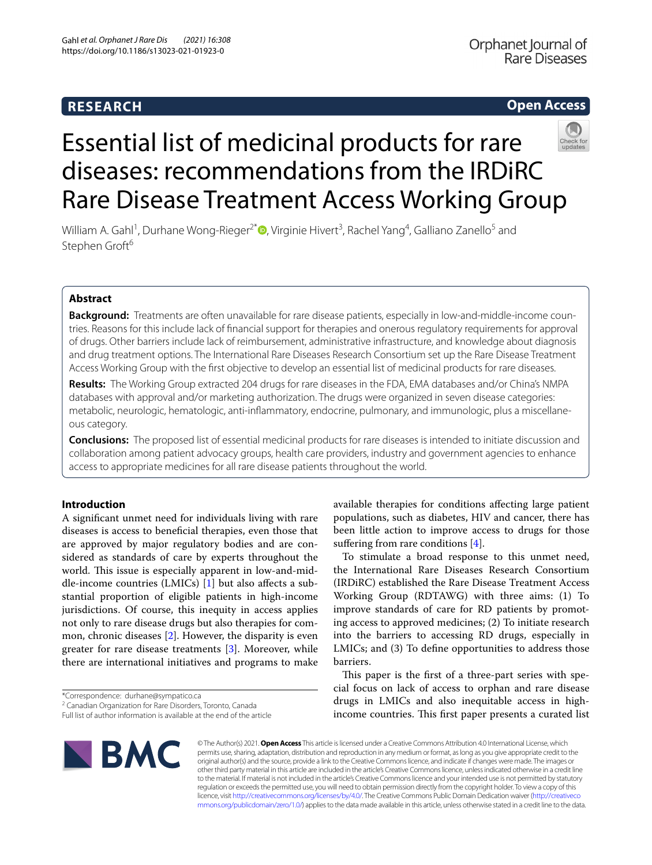# **RESEARCH**

# **Open Access**



# Essential list of medicinal products for rare diseases: recommendations from the IRDiRC Rare Disease Treatment Access Working Group

William A. Gahl<sup>1</sup>[,](http://orcid.org/0000-0001-5771-5400) Durhane Wong-Rieger<sup>2\*</sup>. Virginie Hivert<sup>3</sup>, Rachel Yang<sup>4</sup>, Galliano Zanello<sup>5</sup> and Stephen Groft<sup>6</sup>

# **Abstract**

Background: Treatments are often unavailable for rare disease patients, especially in low-and-middle-income countries. Reasons for this include lack of fnancial support for therapies and onerous regulatory requirements for approval of drugs. Other barriers include lack of reimbursement, administrative infrastructure, and knowledge about diagnosis and drug treatment options. The International Rare Diseases Research Consortium set up the Rare Disease Treatment Access Working Group with the frst objective to develop an essential list of medicinal products for rare diseases.

**Results:** The Working Group extracted 204 drugs for rare diseases in the FDA, EMA databases and/or China's NMPA databases with approval and/or marketing authorization. The drugs were organized in seven disease categories: metabolic, neurologic, hematologic, anti-infammatory, endocrine, pulmonary, and immunologic, plus a miscellane‑ ous category.

**Conclusions:** The proposed list of essential medicinal products for rare diseases is intended to initiate discussion and collaboration among patient advocacy groups, health care providers, industry and government agencies to enhance access to appropriate medicines for all rare disease patients throughout the world.

# **Introduction**

A signifcant unmet need for individuals living with rare diseases is access to benefcial therapies, even those that are approved by major regulatory bodies and are considered as standards of care by experts throughout the world. This issue is especially apparent in low-and-middle-income countries (LMICs) [[1](#page-9-0)] but also afects a substantial proportion of eligible patients in high-income jurisdictions. Of course, this inequity in access applies not only to rare disease drugs but also therapies for common, chronic diseases [\[2](#page-9-1)]. However, the disparity is even greater for rare disease treatments [[3\]](#page-9-2). Moreover, while there are international initiatives and programs to make

\*Correspondence: durhane@sympatico.ca

Full list of author information is available at the end of the article



available therapies for conditions afecting large patient populations, such as diabetes, HIV and cancer, there has been little action to improve access to drugs for those suffering from rare conditions  $[4]$  $[4]$ .

To stimulate a broad response to this unmet need, the International Rare Diseases Research Consortium (IRDiRC) established the Rare Disease Treatment Access Working Group (RDTAWG) with three aims: (1) To improve standards of care for RD patients by promoting access to approved medicines; (2) To initiate research into the barriers to accessing RD drugs, especially in LMICs; and (3) To defne opportunities to address those barriers.

This paper is the first of a three-part series with special focus on lack of access to orphan and rare disease drugs in LMICs and also inequitable access in highincome countries. This first paper presents a curated list

© The Author(s) 2021. **Open Access** This article is licensed under a Creative Commons Attribution 4.0 International License, which permits use, sharing, adaptation, distribution and reproduction in any medium or format, as long as you give appropriate credit to the original author(s) and the source, provide a link to the Creative Commons licence, and indicate if changes were made. The images or other third party material in this article are included in the article's Creative Commons licence, unless indicated otherwise in a credit line to the material. If material is not included in the article's Creative Commons licence and your intended use is not permitted by statutory regulation or exceeds the permitted use, you will need to obtain permission directly from the copyright holder. To view a copy of this licence, visit [http://creativecommons.org/licenses/by/4.0/.](http://creativecommons.org/licenses/by/4.0/) The Creative Commons Public Domain Dedication waiver ([http://creativeco](http://creativecommons.org/publicdomain/zero/1.0/) [mmons.org/publicdomain/zero/1.0/](http://creativecommons.org/publicdomain/zero/1.0/)) applies to the data made available in this article, unless otherwise stated in a credit line to the data.

<sup>&</sup>lt;sup>2</sup> Canadian Organization for Rare Disorders, Toronto, Canada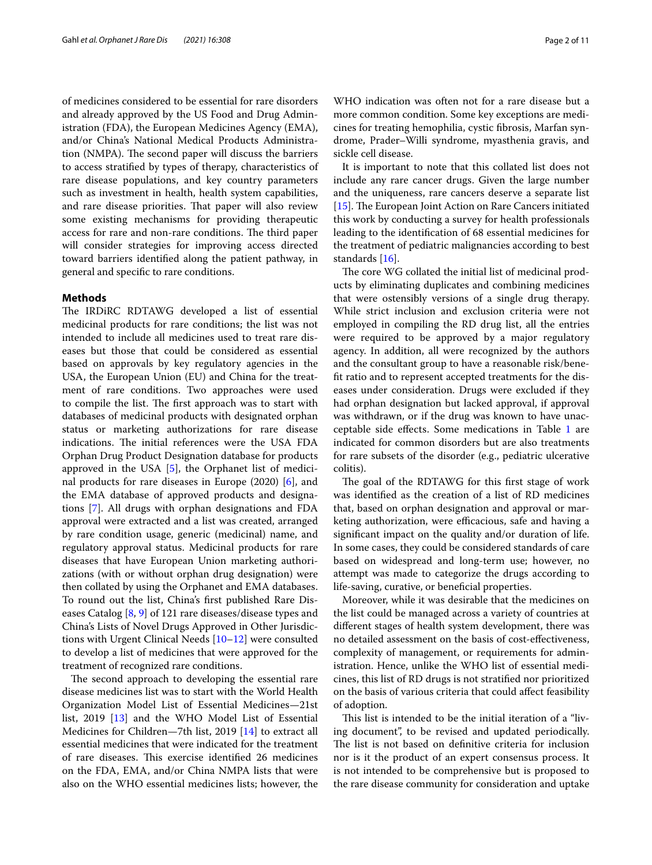of medicines considered to be essential for rare disorders and already approved by the US Food and Drug Administration (FDA), the European Medicines Agency (EMA), and/or China's National Medical Products Administration (NMPA). The second paper will discuss the barriers to access stratifed by types of therapy, characteristics of rare disease populations, and key country parameters such as investment in health, health system capabilities, and rare disease priorities. That paper will also review some existing mechanisms for providing therapeutic access for rare and non-rare conditions. The third paper will consider strategies for improving access directed toward barriers identifed along the patient pathway, in general and specifc to rare conditions.

## **Methods**

The IRDiRC RDTAWG developed a list of essential medicinal products for rare conditions; the list was not intended to include all medicines used to treat rare diseases but those that could be considered as essential based on approvals by key regulatory agencies in the USA, the European Union (EU) and China for the treatment of rare conditions. Two approaches were used to compile the list. The first approach was to start with databases of medicinal products with designated orphan status or marketing authorizations for rare disease indications. The initial references were the USA FDA Orphan Drug Product Designation database for products approved in the USA [[5\]](#page-9-4), the Orphanet list of medicinal products for rare diseases in Europe (2020) [[6](#page-9-5)], and the EMA database of approved products and designations [\[7](#page-9-6)]. All drugs with orphan designations and FDA approval were extracted and a list was created, arranged by rare condition usage, generic (medicinal) name, and regulatory approval status. Medicinal products for rare diseases that have European Union marketing authorizations (with or without orphan drug designation) were then collated by using the Orphanet and EMA databases. To round out the list, China's frst published Rare Diseases Catalog [\[8](#page-9-7), [9\]](#page-9-8) of 121 rare diseases/disease types and China's Lists of Novel Drugs Approved in Other Jurisdictions with Urgent Clinical Needs [\[10](#page-9-9)[–12\]](#page-9-10) were consulted to develop a list of medicines that were approved for the treatment of recognized rare conditions.

The second approach to developing the essential rare disease medicines list was to start with the World Health Organization Model List of Essential Medicines—21st list, 2019 [[13\]](#page-9-11) and the WHO Model List of Essential Medicines for Children—7th list, 2019 [\[14](#page-9-12)] to extract all essential medicines that were indicated for the treatment of rare diseases. This exercise identified 26 medicines on the FDA, EMA, and/or China NMPA lists that were also on the WHO essential medicines lists; however, the

WHO indication was often not for a rare disease but a more common condition. Some key exceptions are medicines for treating hemophilia, cystic fbrosis, Marfan syndrome, Prader–Willi syndrome, myasthenia gravis, and sickle cell disease.

It is important to note that this collated list does not include any rare cancer drugs. Given the large number and the uniqueness, rare cancers deserve a separate list [ $15$ ]. The European Joint Action on Rare Cancers initiated this work by conducting a survey for health professionals leading to the identifcation of 68 essential medicines for the treatment of pediatric malignancies according to best standards [[16\]](#page-9-14).

The core WG collated the initial list of medicinal products by eliminating duplicates and combining medicines that were ostensibly versions of a single drug therapy. While strict inclusion and exclusion criteria were not employed in compiling the RD drug list, all the entries were required to be approved by a major regulatory agency. In addition, all were recognized by the authors and the consultant group to have a reasonable risk/beneft ratio and to represent accepted treatments for the diseases under consideration. Drugs were excluded if they had orphan designation but lacked approval, if approval was withdrawn, or if the drug was known to have unacceptable side efects. Some medications in Table [1](#page-2-0) are indicated for common disorders but are also treatments for rare subsets of the disorder (e.g., pediatric ulcerative colitis).

The goal of the RDTAWG for this first stage of work was identifed as the creation of a list of RD medicines that, based on orphan designation and approval or marketing authorization, were efficacious, safe and having a signifcant impact on the quality and/or duration of life. In some cases, they could be considered standards of care based on widespread and long-term use; however, no attempt was made to categorize the drugs according to life-saving, curative, or benefcial properties.

Moreover, while it was desirable that the medicines on the list could be managed across a variety of countries at diferent stages of health system development, there was no detailed assessment on the basis of cost-efectiveness, complexity of management, or requirements for administration. Hence, unlike the WHO list of essential medicines, this list of RD drugs is not stratifed nor prioritized on the basis of various criteria that could afect feasibility of adoption.

This list is intended to be the initial iteration of a "living document", to be revised and updated periodically. The list is not based on definitive criteria for inclusion nor is it the product of an expert consensus process. It is not intended to be comprehensive but is proposed to the rare disease community for consideration and uptake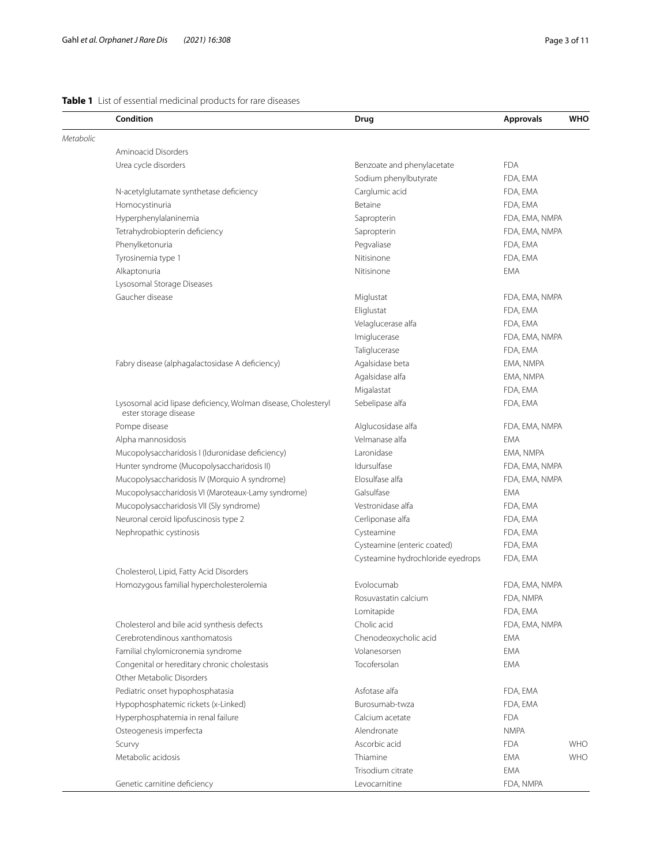# <span id="page-2-0"></span>**Table 1** List of essential medicinal products for rare diseases

|           | Condition                                                                              | Drug                              | <b>Approvals</b> | <b>WHO</b> |
|-----------|----------------------------------------------------------------------------------------|-----------------------------------|------------------|------------|
| Metabolic |                                                                                        |                                   |                  |            |
|           | Aminoacid Disorders                                                                    |                                   |                  |            |
|           | Urea cycle disorders                                                                   | Benzoate and phenylacetate        | <b>FDA</b>       |            |
|           |                                                                                        | Sodium phenylbutyrate             | FDA, EMA         |            |
|           | N-acetylglutamate synthetase deficiency                                                | Carglumic acid                    | FDA, EMA         |            |
|           | Homocystinuria                                                                         | Betaine                           | FDA, EMA         |            |
|           | Hyperphenylalaninemia                                                                  | Sapropterin                       | FDA, EMA, NMPA   |            |
|           | Tetrahydrobiopterin deficiency                                                         | Sapropterin                       | FDA, EMA, NMPA   |            |
|           | Phenylketonuria                                                                        | Pegvaliase                        | FDA, EMA         |            |
|           | Tyrosinemia type 1                                                                     | Nitisinone                        | FDA, EMA         |            |
|           | Alkaptonuria                                                                           | Nitisinone                        | <b>EMA</b>       |            |
|           | Lysosomal Storage Diseases                                                             |                                   |                  |            |
|           | Gaucher disease                                                                        | Miglustat                         | FDA, EMA, NMPA   |            |
|           |                                                                                        | Eliglustat                        | FDA, EMA         |            |
|           |                                                                                        | Velaglucerase alfa                | FDA, EMA         |            |
|           |                                                                                        | Imiglucerase                      | FDA, EMA, NMPA   |            |
|           |                                                                                        | Taliglucerase                     | FDA, EMA         |            |
|           | Fabry disease (alphagalactosidase A deficiency)                                        | Agalsidase beta                   | EMA, NMPA        |            |
|           |                                                                                        | Agalsidase alfa                   | EMA, NMPA        |            |
|           |                                                                                        | Migalastat                        | FDA, EMA         |            |
|           | Lysosomal acid lipase deficiency, Wolman disease, Cholesteryl<br>ester storage disease | Sebelipase alfa                   | FDA, EMA         |            |
|           | Pompe disease                                                                          | Alglucosidase alfa                | FDA, EMA, NMPA   |            |
|           | Alpha mannosidosis                                                                     | Velmanase alfa                    | <b>EMA</b>       |            |
|           | Mucopolysaccharidosis I (Iduronidase deficiency)                                       | Laronidase                        | EMA, NMPA        |            |
|           | Hunter syndrome (Mucopolysaccharidosis II)                                             | Idursulfase                       | FDA, EMA, NMPA   |            |
|           | Mucopolysaccharidosis IV (Morquio A syndrome)                                          | Elosulfase alfa                   | FDA, EMA, NMPA   |            |
|           | Mucopolysaccharidosis VI (Maroteaux-Lamy syndrome)                                     | Galsulfase                        | <b>EMA</b>       |            |
|           | Mucopolysaccharidosis VII (Sly syndrome)                                               | Vestronidase alfa                 | FDA, EMA         |            |
|           | Neuronal ceroid lipofuscinosis type 2                                                  | Cerliponase alfa                  | FDA, EMA         |            |
|           | Nephropathic cystinosis                                                                | Cysteamine                        | FDA, EMA         |            |
|           |                                                                                        | Cysteamine (enteric coated)       | FDA, EMA         |            |
|           |                                                                                        | Cysteamine hydrochloride eyedrops | FDA, EMA         |            |
|           | Cholesterol, Lipid, Fatty Acid Disorders                                               |                                   |                  |            |
|           | Homozygous familial hypercholesterolemia                                               | Evolocumab                        | FDA, EMA, NMPA   |            |
|           |                                                                                        | Rosuvastatin calcium              | FDA, NMPA        |            |
|           |                                                                                        | Lomitapide                        | FDA, EMA         |            |
|           | Cholesterol and bile acid synthesis defects                                            | Cholic acid                       | FDA, EMA, NMPA   |            |
|           | Cerebrotendinous xanthomatosis                                                         | Chenodeoxycholic acid             | EMA              |            |
|           | Familial chylomicronemia syndrome                                                      | Volanesorsen                      | <b>EMA</b>       |            |
|           | Congenital or hereditary chronic cholestasis                                           | Tocofersolan                      | <b>EMA</b>       |            |
|           | Other Metabolic Disorders                                                              |                                   |                  |            |
|           | Pediatric onset hypophosphatasia                                                       | Asfotase alfa                     | FDA, EMA         |            |
|           | Hypophosphatemic rickets (x-Linked)                                                    | Burosumab-twza                    | FDA, EMA         |            |
|           | Hyperphosphatemia in renal failure                                                     | Calcium acetate                   | <b>FDA</b>       |            |
|           | Osteogenesis imperfecta                                                                | Alendronate                       | <b>NMPA</b>      |            |
|           | Scurvy                                                                                 | Ascorbic acid                     | <b>FDA</b>       | <b>WHO</b> |
|           | Metabolic acidosis                                                                     | Thiamine                          | <b>EMA</b>       | <b>WHO</b> |
|           |                                                                                        | Trisodium citrate                 | <b>EMA</b>       |            |
|           | Genetic carnitine deficiency                                                           | Levocarnitine                     | FDA, NMPA        |            |
|           |                                                                                        |                                   |                  |            |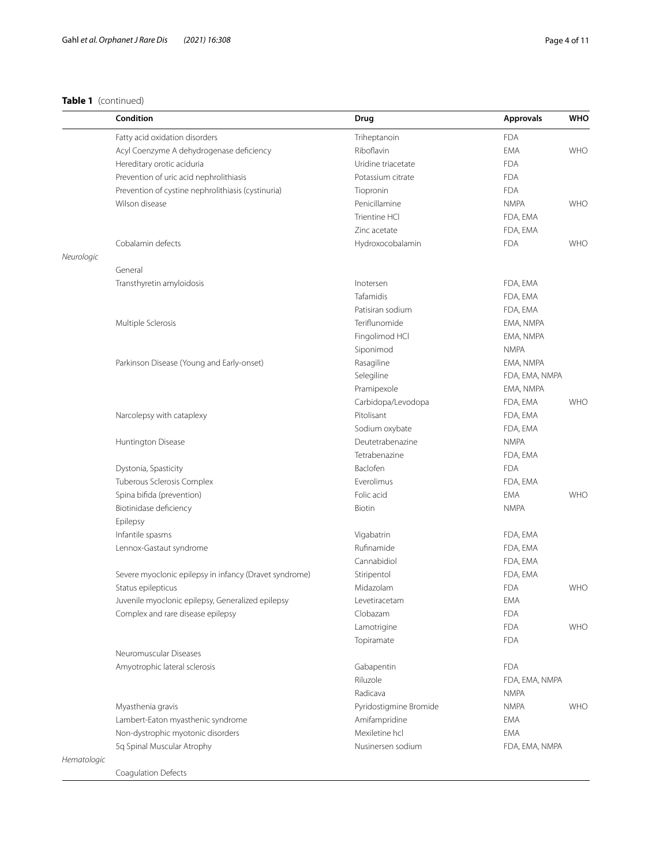|             | Condition                                              | Drug                   | <b>Approvals</b> | <b>WHO</b> |
|-------------|--------------------------------------------------------|------------------------|------------------|------------|
|             | Fatty acid oxidation disorders                         | Triheptanoin           | <b>FDA</b>       |            |
|             | Acyl Coenzyme A dehydrogenase deficiency               | Riboflavin             | <b>EMA</b>       | <b>WHO</b> |
|             | Hereditary orotic aciduria                             | Uridine triacetate     | <b>FDA</b>       |            |
|             | Prevention of uric acid nephrolithiasis                | Potassium citrate      | <b>FDA</b>       |            |
|             | Prevention of cystine nephrolithiasis (cystinuria)     | Tiopronin              | <b>FDA</b>       |            |
|             | Wilson disease                                         | Penicillamine          | <b>NMPA</b>      | <b>WHO</b> |
|             |                                                        | Trientine HCI          | FDA, EMA         |            |
|             |                                                        | Zinc acetate           | FDA, EMA         |            |
|             | Cobalamin defects                                      | Hydroxocobalamin       | <b>FDA</b>       | <b>WHO</b> |
| Neurologic  |                                                        |                        |                  |            |
|             | General                                                |                        |                  |            |
|             | Transthyretin amyloidosis                              | Inotersen              | FDA, EMA         |            |
|             |                                                        | Tafamidis              | FDA, EMA         |            |
|             |                                                        | Patisiran sodium       | FDA, EMA         |            |
|             | Multiple Sclerosis                                     | Teriflunomide          | EMA, NMPA        |            |
|             |                                                        | Fingolimod HCI         | EMA, NMPA        |            |
|             |                                                        | Siponimod              | <b>NMPA</b>      |            |
|             | Parkinson Disease (Young and Early-onset)              | Rasagiline             | EMA, NMPA        |            |
|             |                                                        | Selegiline             | FDA, EMA, NMPA   |            |
|             |                                                        | Pramipexole            | EMA, NMPA        |            |
|             |                                                        | Carbidopa/Levodopa     | FDA, EMA         | <b>WHO</b> |
|             | Narcolepsy with cataplexy                              | Pitolisant             | FDA, EMA         |            |
|             |                                                        | Sodium oxybate         | FDA, EMA         |            |
|             | Huntington Disease                                     | Deutetrabenazine       | <b>NMPA</b>      |            |
|             |                                                        | Tetrabenazine          | FDA, EMA         |            |
|             | Dystonia, Spasticity                                   | Baclofen               | <b>FDA</b>       |            |
|             | Tuberous Sclerosis Complex                             | Everolimus             | FDA, EMA         |            |
|             | Spina bifida (prevention)                              | Folic acid             | EMA              | <b>WHO</b> |
|             | Biotinidase deficiency                                 | Biotin                 | <b>NMPA</b>      |            |
|             | Epilepsy                                               |                        |                  |            |
|             | Infantile spasms                                       | Vigabatrin             | FDA, EMA         |            |
|             | Lennox-Gastaut syndrome                                | Rufinamide             | FDA, EMA         |            |
|             |                                                        | Cannabidiol            | FDA, EMA         |            |
|             | Severe myoclonic epilepsy in infancy (Dravet syndrome) | Stiripentol            | FDA, EMA         |            |
|             | Status epilepticus                                     | Midazolam              | <b>FDA</b>       | <b>WHO</b> |
|             | Juvenile myoclonic epilepsy, Generalized epilepsy      | Levetiracetam          | EMA              |            |
|             | Complex and rare disease epilepsy                      | Clobazam               | <b>FDA</b>       |            |
|             |                                                        | Lamotrigine            | <b>FDA</b>       | <b>WHO</b> |
|             |                                                        | Topiramate             | <b>FDA</b>       |            |
|             | Neuromuscular Diseases                                 |                        |                  |            |
|             | Amyotrophic lateral sclerosis                          | Gabapentin             | <b>FDA</b>       |            |
|             |                                                        | Riluzole               | FDA, EMA, NMPA   |            |
|             |                                                        | Radicava               | <b>NMPA</b>      |            |
|             | Myasthenia gravis                                      | Pyridostigmine Bromide | <b>NMPA</b>      | <b>WHO</b> |
|             | Lambert-Eaton myasthenic syndrome                      | Amifampridine          | EMA              |            |
|             | Non-dystrophic myotonic disorders                      | Mexiletine hcl         | <b>EMA</b>       |            |
|             | 5q Spinal Muscular Atrophy                             | Nusinersen sodium      | FDA, EMA, NMPA   |            |
| Hematologic |                                                        |                        |                  |            |

Coagulation Defects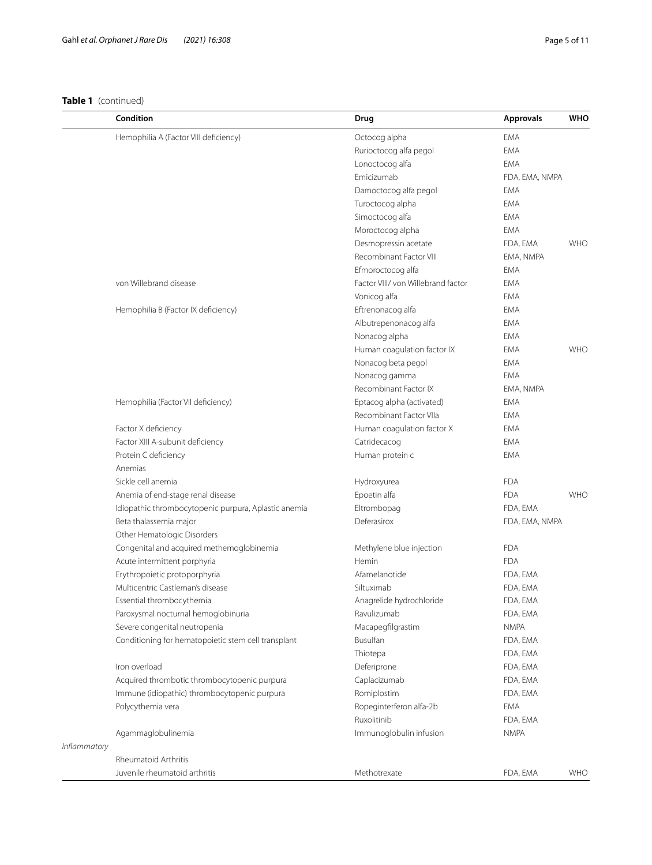|                     | Condition                                            | Drug                               | <b>Approvals</b> | <b>WHO</b> |
|---------------------|------------------------------------------------------|------------------------------------|------------------|------------|
|                     | Hemophilia A (Factor VIII deficiency)                | Octocog alpha                      | <b>EMA</b>       |            |
|                     |                                                      | Rurioctocog alfa pegol             | <b>EMA</b>       |            |
|                     |                                                      | Lonoctocog alfa                    | <b>EMA</b>       |            |
|                     |                                                      | Emicizumab                         | FDA, EMA, NMPA   |            |
|                     |                                                      | Damoctocog alfa pegol              | EMA              |            |
|                     |                                                      | Turoctocog alpha                   | <b>EMA</b>       |            |
|                     |                                                      | Simoctocog alfa                    | <b>EMA</b>       |            |
|                     |                                                      | Moroctocog alpha                   | <b>EMA</b>       |            |
|                     |                                                      | Desmopressin acetate               | FDA, EMA         | <b>WHO</b> |
|                     |                                                      | Recombinant Factor VIII            | EMA, NMPA        |            |
|                     |                                                      | Efmoroctocog alfa                  | <b>EMA</b>       |            |
|                     | von Willebrand disease                               | Factor VIII/ von Willebrand factor | <b>EMA</b>       |            |
|                     |                                                      | Vonicog alfa                       | <b>EMA</b>       |            |
|                     | Hemophilia B (Factor IX deficiency)                  | Eftrenonacog alfa                  | <b>EMA</b>       |            |
|                     |                                                      | Albutrepenonacog alfa              | <b>EMA</b>       |            |
|                     |                                                      | Nonacog alpha                      | <b>EMA</b>       |            |
|                     |                                                      | Human coagulation factor IX        | <b>EMA</b>       | <b>WHO</b> |
|                     |                                                      | Nonacog beta pegol                 | <b>EMA</b>       |            |
|                     |                                                      | Nonacog gamma                      | <b>EMA</b>       |            |
|                     |                                                      | Recombinant Factor IX              | EMA, NMPA        |            |
|                     | Hemophilia (Factor VII deficiency)                   | Eptacog alpha (activated)          | <b>EMA</b>       |            |
|                     |                                                      | Recombinant Factor VIIa            | EMA              |            |
|                     | Factor X deficiency                                  | Human coagulation factor X         | <b>EMA</b>       |            |
|                     | Factor XIII A-subunit deficiency                     | Catridecacog                       | <b>EMA</b>       |            |
|                     | Protein C deficiency                                 | Human protein c                    | <b>EMA</b>       |            |
|                     | Anemias                                              |                                    |                  |            |
|                     | Sickle cell anemia                                   | Hydroxyurea                        | <b>FDA</b>       |            |
|                     | Anemia of end-stage renal disease                    | Epoetin alfa                       | <b>FDA</b>       | <b>WHO</b> |
|                     | Idiopathic thrombocytopenic purpura, Aplastic anemia | Eltrombopag                        | FDA, EMA         |            |
|                     | Beta thalassemia major                               | Deferasirox                        | FDA, EMA, NMPA   |            |
|                     | Other Hematologic Disorders                          |                                    |                  |            |
|                     | Congenital and acquired methemoglobinemia            | Methylene blue injection           | <b>FDA</b>       |            |
|                     | Acute intermittent porphyria                         | Hemin                              | <b>FDA</b>       |            |
|                     | Erythropoietic protoporphyria                        | Afamelanotide                      | FDA, EMA         |            |
|                     | Multicentric Castleman's disease                     | Siltuximab                         | FDA, EMA         |            |
|                     | Essential thrombocythemia                            | Anagrelide hydrochloride           | FDA, EMA         |            |
|                     | Paroxysmal nocturnal hemoglobinuria                  | Ravulizumab                        | FDA, EMA         |            |
|                     | Severe congenital neutropenia                        | Macapegfilgrastim                  | <b>NMPA</b>      |            |
|                     | Conditioning for hematopoietic stem cell transplant  | <b>Busulfan</b>                    | FDA, EMA         |            |
|                     |                                                      | Thiotepa                           | FDA, EMA         |            |
|                     | Iron overload                                        | Deferiprone                        | FDA, EMA         |            |
|                     | Acquired thrombotic thrombocytopenic purpura         | Caplacizumab                       | FDA, EMA         |            |
|                     | Immune (idiopathic) thrombocytopenic purpura         | Romiplostim                        | FDA, EMA         |            |
|                     | Polycythemia vera                                    | Ropeginterferon alfa-2b            | EMA              |            |
|                     |                                                      | Ruxolitinib                        | FDA, EMA         |            |
|                     | Agammaglobulinemia                                   | Immunoglobulin infusion            | <b>NMPA</b>      |            |
| <i>Inflammatory</i> |                                                      |                                    |                  |            |
|                     | Rheumatoid Arthritis                                 |                                    |                  |            |
|                     | Juvenile rheumatoid arthritis                        | Methotrexate                       | FDA, EMA         | <b>WHO</b> |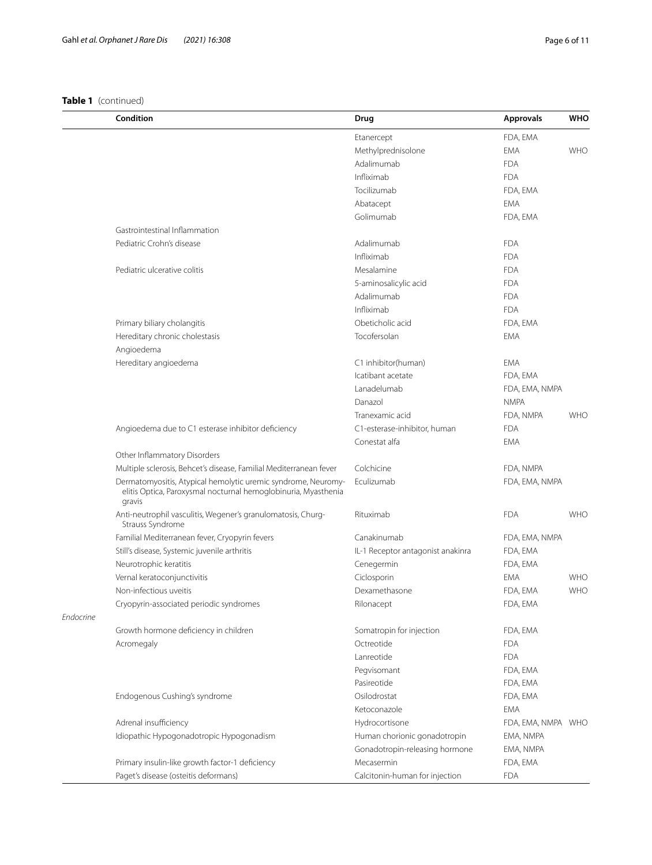|           | Condition                                                                        | Drug                              | <b>Approvals</b>   | WHO        |
|-----------|----------------------------------------------------------------------------------|-----------------------------------|--------------------|------------|
|           |                                                                                  | Etanercept                        | FDA, EMA           |            |
|           |                                                                                  | Methylprednisolone                | EMA                | <b>WHO</b> |
|           |                                                                                  | Adalimumab                        | <b>FDA</b>         |            |
|           |                                                                                  | Infliximab                        | <b>FDA</b>         |            |
|           |                                                                                  | Tocilizumab                       | FDA, EMA           |            |
|           |                                                                                  | Abatacept                         | <b>EMA</b>         |            |
|           |                                                                                  | Golimumab                         | FDA, EMA           |            |
|           | Gastrointestinal Inflammation                                                    |                                   |                    |            |
|           | Pediatric Crohn's disease                                                        | Adalimumab                        | <b>FDA</b>         |            |
|           |                                                                                  | Infliximab                        | <b>FDA</b>         |            |
|           | Pediatric ulcerative colitis                                                     | Mesalamine                        | <b>FDA</b>         |            |
|           |                                                                                  | 5-aminosalicylic acid             | <b>FDA</b>         |            |
|           |                                                                                  | Adalimumab                        | <b>FDA</b>         |            |
|           |                                                                                  | Infliximab                        | <b>FDA</b>         |            |
|           | Primary biliary cholangitis                                                      | Obeticholic acid                  | FDA, EMA           |            |
|           | Hereditary chronic cholestasis                                                   | Tocofersolan                      | EMA                |            |
|           | Angioedema                                                                       |                                   |                    |            |
|           | Hereditary angioedema                                                            | C1 inhibitor(human)               | <b>EMA</b>         |            |
|           |                                                                                  | Icatibant acetate                 | FDA, EMA           |            |
|           |                                                                                  | Lanadelumab                       | FDA, EMA, NMPA     |            |
|           |                                                                                  | Danazol                           | <b>NMPA</b>        |            |
|           |                                                                                  | Tranexamic acid                   | FDA, NMPA          | <b>WHO</b> |
|           | Angioedema due to C1 esterase inhibitor deficiency                               | C1-esterase-inhibitor, human      | <b>FDA</b>         |            |
|           |                                                                                  | Conestat alfa                     | <b>EMA</b>         |            |
|           | Other Inflammatory Disorders                                                     |                                   |                    |            |
|           | Multiple sclerosis, Behcet's disease, Familial Mediterranean fever               | Colchicine                        | FDA, NMPA          |            |
|           | Dermatomyositis, Atypical hemolytic uremic syndrome, Neuromy-                    | Eculizumab                        | FDA, EMA, NMPA     |            |
|           | elitis Optica, Paroxysmal nocturnal hemoglobinuria, Myasthenia<br>gravis         |                                   |                    |            |
|           | Anti-neutrophil vasculitis, Wegener's granulomatosis, Churg-<br>Strauss Syndrome | Rituximab                         | <b>FDA</b>         | <b>WHO</b> |
|           | Familial Mediterranean fever, Cryopyrin fevers                                   | Canakinumab                       | FDA, EMA, NMPA     |            |
|           | Still's disease, Systemic juvenile arthritis                                     | IL-1 Receptor antagonist anakinra | FDA, EMA           |            |
|           | Neurotrophic keratitis                                                           | Cenegermin                        | FDA, EMA           |            |
|           | Vernal keratoconjunctivitis                                                      | Ciclosporin                       | <b>EMA</b>         | <b>WHO</b> |
|           | Non-infectious uveitis                                                           | Dexamethasone                     | FDA, EMA           | <b>WHO</b> |
|           | Cryopyrin-associated periodic syndromes                                          | Rilonacept                        | FDA, EMA           |            |
| Endocrine |                                                                                  |                                   |                    |            |
|           | Growth hormone deficiency in children                                            | Somatropin for injection          | FDA, EMA           |            |
|           | Acromegaly                                                                       | Octreotide                        | <b>FDA</b>         |            |
|           |                                                                                  | Lanreotide                        | <b>FDA</b>         |            |
|           |                                                                                  | Peqvisomant                       | FDA, EMA           |            |
|           |                                                                                  | Pasireotide                       | FDA, EMA           |            |
|           | Endogenous Cushing's syndrome                                                    | Osilodrostat                      | FDA, EMA           |            |
|           |                                                                                  | Ketoconazole                      | EMA                |            |
|           | Adrenal insufficiency                                                            | Hydrocortisone                    | FDA, EMA, NMPA WHO |            |
|           | Idiopathic Hypogonadotropic Hypogonadism                                         | Human chorionic gonadotropin      | EMA, NMPA          |            |
|           |                                                                                  | Gonadotropin-releasing hormone    | EMA, NMPA          |            |
|           | Primary insulin-like growth factor-1 deficiency                                  | Mecasermin                        | FDA, EMA           |            |
|           | Paget's disease (osteitis deformans)                                             | Calcitonin-human for injection    | <b>FDA</b>         |            |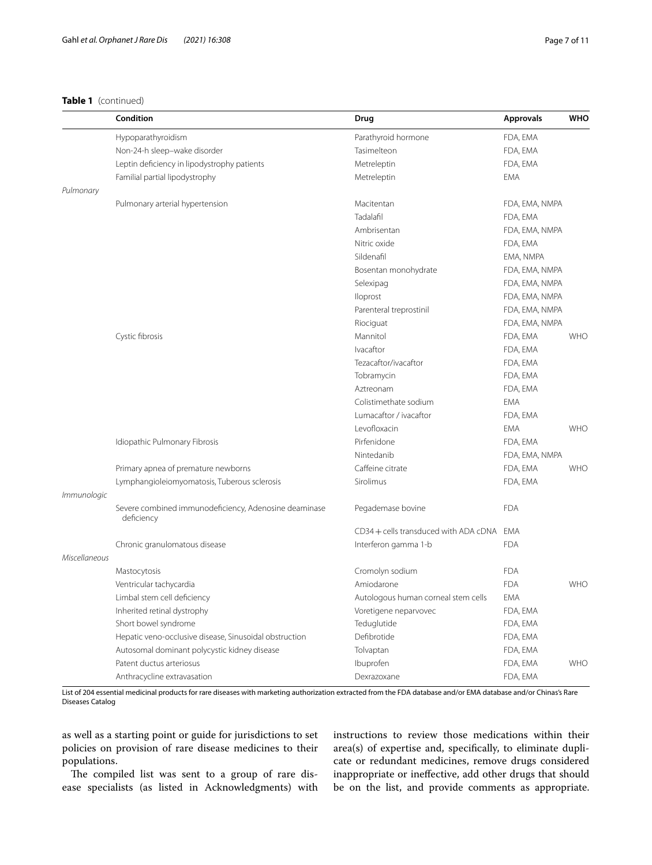|               | Condition                                                           | Drug                                  | <b>Approvals</b> | <b>WHO</b> |
|---------------|---------------------------------------------------------------------|---------------------------------------|------------------|------------|
|               | Hypoparathyroidism                                                  | Parathyroid hormone                   | FDA, EMA         |            |
|               | Non-24-h sleep-wake disorder                                        | Tasimelteon                           | FDA, EMA         |            |
|               | Leptin deficiency in lipodystrophy patients                         | Metreleptin                           | FDA, EMA         |            |
|               | Familial partial lipodystrophy                                      | Metreleptin                           | <b>EMA</b>       |            |
| Pulmonary     |                                                                     |                                       |                  |            |
|               | Pulmonary arterial hypertension                                     | Macitentan                            | FDA, EMA, NMPA   |            |
|               |                                                                     | Tadalafil                             | FDA, EMA         |            |
|               |                                                                     | Ambrisentan                           | FDA, EMA, NMPA   |            |
|               |                                                                     | Nitric oxide                          | FDA, EMA         |            |
|               |                                                                     | Sildenafil                            | EMA, NMPA        |            |
|               |                                                                     | Bosentan monohydrate                  | FDA, EMA, NMPA   |            |
|               |                                                                     | Selexipag                             | FDA, EMA, NMPA   |            |
|               |                                                                     | Iloprost                              | FDA, EMA, NMPA   |            |
|               |                                                                     | Parenteral treprostinil               | FDA, EMA, NMPA   |            |
|               |                                                                     | Riociguat                             | FDA, EMA, NMPA   |            |
|               | Cystic fibrosis                                                     | Mannitol                              | FDA, EMA         | <b>WHO</b> |
|               |                                                                     | Ivacaftor                             | FDA, EMA         |            |
|               |                                                                     | Tezacaftor/ivacaftor                  | FDA, EMA         |            |
|               |                                                                     | Tobramycin                            | FDA, EMA         |            |
|               |                                                                     | Aztreonam                             | FDA, EMA         |            |
|               |                                                                     | Colistimethate sodium                 | <b>EMA</b>       |            |
|               |                                                                     | Lumacaftor / ivacaftor                | FDA, EMA         |            |
|               |                                                                     | Levofloxacin                          | <b>EMA</b>       | <b>WHO</b> |
|               | Idiopathic Pulmonary Fibrosis                                       | Pirfenidone                           | FDA, EMA         |            |
|               |                                                                     | Nintedanib                            | FDA, EMA, NMPA   |            |
|               | Primary apnea of premature newborns                                 | Caffeine citrate                      | FDA, EMA         | <b>WHO</b> |
|               | Lymphangioleiomyomatosis, Tuberous sclerosis                        | Sirolimus                             | FDA, EMA         |            |
| Immunologic   |                                                                     |                                       |                  |            |
|               | Severe combined immunodeficiency, Adenosine deaminase<br>deficiency | Pegademase bovine                     | <b>FDA</b>       |            |
|               |                                                                     | CD34 + cells transduced with ADA cDNA | EMA              |            |
|               | Chronic granulomatous disease                                       | Interferon gamma 1-b                  | <b>FDA</b>       |            |
| Miscellaneous |                                                                     |                                       |                  |            |
|               | Mastocytosis                                                        | Cromolyn sodium                       | <b>FDA</b>       |            |
|               | Ventricular tachycardia                                             | Amiodarone                            | <b>FDA</b>       | <b>WHO</b> |
|               | Limbal stem cell deficiency                                         | Autologous human corneal stem cells   | <b>EMA</b>       |            |
|               | Inherited retinal dystrophy                                         | Voretigene neparvovec                 | FDA, EMA         |            |
|               | Short bowel syndrome                                                | Teduglutide                           | FDA, EMA         |            |
|               | Hepatic veno-occlusive disease, Sinusoidal obstruction              | Defibrotide                           | FDA, EMA         |            |
|               | Autosomal dominant polycystic kidney disease                        | Tolvaptan                             | FDA, EMA         |            |
|               | Patent ductus arteriosus                                            | Ibuprofen                             | FDA, EMA         | <b>WHO</b> |
|               | Anthracycline extravasation                                         | Dexrazoxane                           | FDA, EMA         |            |

List of 204 essential medicinal products for rare diseases with marketing authorization extracted from the FDA database and/or EMA database and/or Chinas's Rare Diseases Catalog

as well as a starting point or guide for jurisdictions to set policies on provision of rare disease medicines to their populations.

The compiled list was sent to a group of rare disease specialists (as listed in Acknowledgments) with instructions to review those medications within their area(s) of expertise and, specifcally, to eliminate duplicate or redundant medicines, remove drugs considered inappropriate or inefective, add other drugs that should be on the list, and provide comments as appropriate.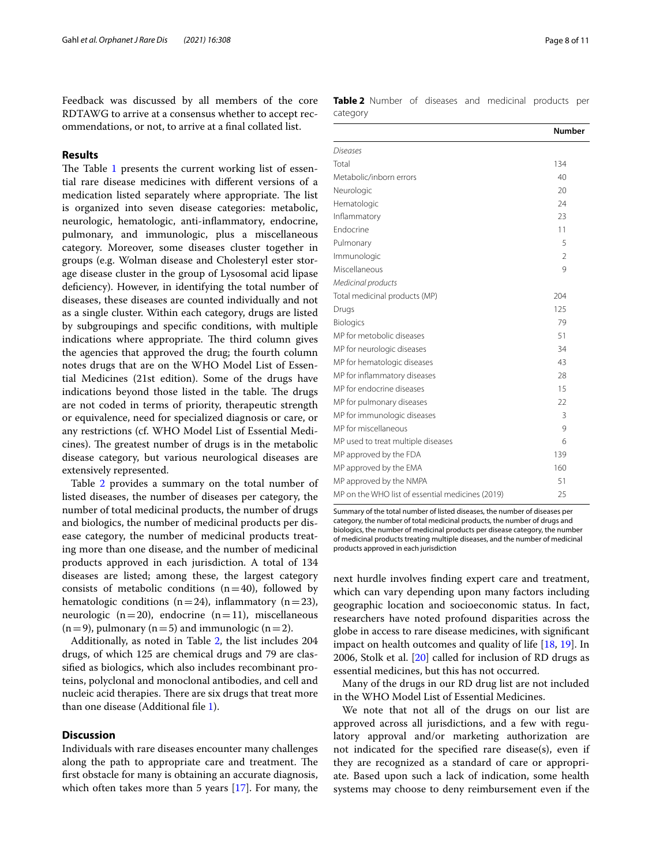Feedback was discussed by all members of the core RDTAWG to arrive at a consensus whether to accept recommendations, or not, to arrive at a fnal collated list.

## **Results**

The Table [1](#page-2-0) presents the current working list of essential rare disease medicines with diferent versions of a medication listed separately where appropriate. The list is organized into seven disease categories: metabolic, neurologic, hematologic, anti-infammatory, endocrine, pulmonary, and immunologic, plus a miscellaneous category. Moreover, some diseases cluster together in groups (e.g. Wolman disease and Cholesteryl ester storage disease cluster in the group of Lysosomal acid lipase deficiency). However, in identifying the total number of diseases, these diseases are counted individually and not as a single cluster. Within each category, drugs are listed by subgroupings and specifc conditions, with multiple indications where appropriate. The third column gives the agencies that approved the drug; the fourth column notes drugs that are on the WHO Model List of Essential Medicines (21st edition). Some of the drugs have indications beyond those listed in the table. The drugs are not coded in terms of priority, therapeutic strength or equivalence, need for specialized diagnosis or care, or any restrictions (cf. WHO Model List of Essential Medicines). The greatest number of drugs is in the metabolic disease category, but various neurological diseases are extensively represented.

Table [2](#page-7-0) provides a summary on the total number of listed diseases, the number of diseases per category, the number of total medicinal products, the number of drugs and biologics, the number of medicinal products per disease category, the number of medicinal products treating more than one disease, and the number of medicinal products approved in each jurisdiction. A total of 134 diseases are listed; among these, the largest category consists of metabolic conditions  $(n=40)$ , followed by hematologic conditions (n=24), inflammatory (n=23), neurologic ( $n=20$ ), endocrine ( $n=11$ ), miscellaneous  $(n=9)$ , pulmonary  $(n=5)$  and immunologic  $(n=2)$ .

Additionally, as noted in Table [2,](#page-7-0) the list includes 204 drugs, of which 125 are chemical drugs and 79 are classifed as biologics, which also includes recombinant proteins, polyclonal and monoclonal antibodies, and cell and nucleic acid therapies. There are six drugs that treat more than one disease (Additional fle [1](#page-9-15)).

## **Discussion**

Individuals with rare diseases encounter many challenges along the path to appropriate care and treatment. The frst obstacle for many is obtaining an accurate diagnosis, which often takes more than 5 years [[17\]](#page-9-16). For many, the <span id="page-7-0"></span>**Table 2** Number of diseases and medicinal products per category

|                                                  | <b>Number</b> |
|--------------------------------------------------|---------------|
| Diseases                                         |               |
| Total                                            | 134           |
| Metabolic/inborn errors                          | 40            |
| Neurologic                                       | 20            |
| Hematologic                                      | 24            |
| Inflammatory                                     | 23            |
| <b>Fndocrine</b>                                 | 11            |
| Pulmonary                                        | 5             |
| Immunologic                                      | 2             |
| Miscellaneous                                    | 9             |
| Medicinal products                               |               |
| Total medicinal products (MP)                    | 204           |
| Drugs                                            | 125           |
| Biologics                                        | 79            |
| MP for metobolic diseases                        | 51            |
| MP for neurologic diseases                       | 34            |
| MP for hematologic diseases                      | 43            |
| MP for inflammatory diseases                     | 28            |
| MP for endocrine diseases                        | 15            |
| MP for pulmonary diseases                        | 22            |
| MP for immunologic diseases                      | 3             |
| MP for miscellaneous                             | 9             |
| MP used to treat multiple diseases               | 6             |
| MP approved by the FDA                           | 139           |
| MP approved by the EMA                           | 160           |
| MP approved by the NMPA                          | 51            |
| MP on the WHO list of essential medicines (2019) | 25            |

Summary of the total number of listed diseases, the number of diseases per category, the number of total medicinal products, the number of drugs and biologics, the number of medicinal products per disease category, the number of medicinal products treating multiple diseases, and the number of medicinal products approved in each jurisdiction

next hurdle involves fnding expert care and treatment, which can vary depending upon many factors including geographic location and socioeconomic status. In fact, researchers have noted profound disparities across the globe in access to rare disease medicines, with signifcant impact on health outcomes and quality of life [\[18](#page-9-17), [19\]](#page-9-18). In 2006, Stolk et al. [\[20](#page-9-19)] called for inclusion of RD drugs as essential medicines, but this has not occurred.

Many of the drugs in our RD drug list are not included in the WHO Model List of Essential Medicines.

We note that not all of the drugs on our list are approved across all jurisdictions, and a few with regulatory approval and/or marketing authorization are not indicated for the specifed rare disease(s), even if they are recognized as a standard of care or appropriate. Based upon such a lack of indication, some health systems may choose to deny reimbursement even if the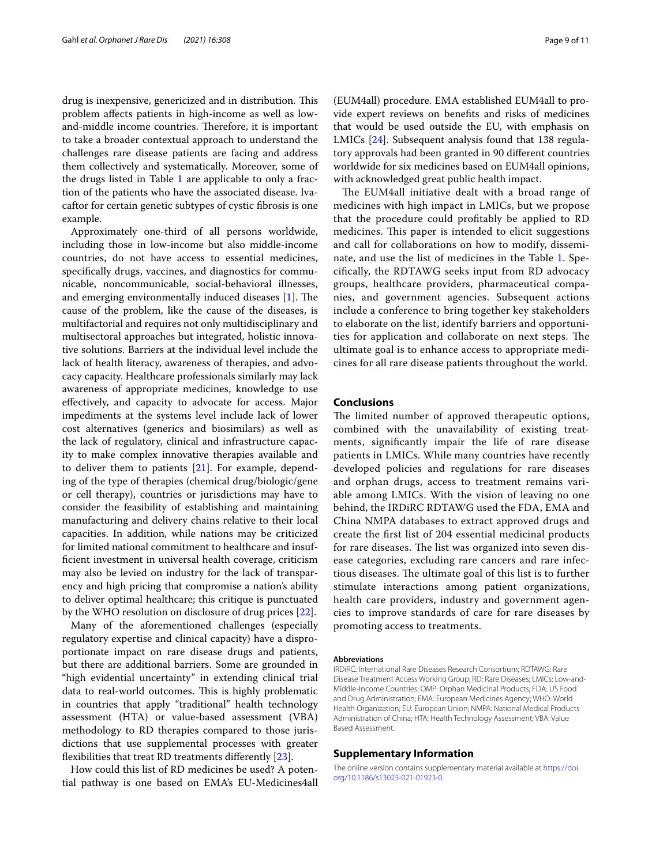drug is inexpensive, genericized and in distribution. This problem afects patients in high-income as well as lowand-middle income countries. Therefore, it is important to take a broader contextual approach to understand the challenges rare disease patients are facing and address them collectively and systematically. Moreover, some of the drugs listed in Table [1](#page-2-0) are applicable to only a fraction of the patients who have the associated disease. Ivacaftor for certain genetic subtypes of cystic fbrosis is one example.

Approximately one-third of all persons worldwide, including those in low-income but also middle-income countries, do not have access to essential medicines, specifcally drugs, vaccines, and diagnostics for communicable, noncommunicable, social-behavioral illnesses, and emerging environmentally induced diseases  $[1]$  $[1]$ . The cause of the problem, like the cause of the diseases, is multifactorial and requires not only multidisciplinary and multisectoral approaches but integrated, holistic innovative solutions. Barriers at the individual level include the lack of health literacy, awareness of therapies, and advocacy capacity. Healthcare professionals similarly may lack awareness of appropriate medicines, knowledge to use efectively, and capacity to advocate for access. Major impediments at the systems level include lack of lower cost alternatives (generics and biosimilars) as well as the lack of regulatory, clinical and infrastructure capacity to make complex innovative therapies available and to deliver them to patients [[21\]](#page-9-20). For example, depending of the type of therapies (chemical drug/biologic/gene or cell therapy), countries or jurisdictions may have to consider the feasibility of establishing and maintaining manufacturing and delivery chains relative to their local capacities. In addition, while nations may be criticized for limited national commitment to healthcare and insuffcient investment in universal health coverage, criticism may also be levied on industry for the lack of transparency and high pricing that compromise a nation's ability to deliver optimal healthcare; this critique is punctuated by the WHO resolution on disclosure of drug prices [[22\]](#page-9-21).

Many of the aforementioned challenges (especially regulatory expertise and clinical capacity) have a disproportionate impact on rare disease drugs and patients, but there are additional barriers. Some are grounded in "high evidential uncertainty" in extending clinical trial data to real-world outcomes. This is highly problematic in countries that apply "traditional" health technology assessment (HTA) or value-based assessment (VBA) methodology to RD therapies compared to those jurisdictions that use supplemental processes with greater flexibilities that treat RD treatments differently [[23\]](#page-10-0).

How could this list of RD medicines be used? A potential pathway is one based on EMA's EU-Medicines4all (EUM4all) procedure. EMA established EUM4all to provide expert reviews on benefts and risks of medicines that would be used outside the EU, with emphasis on LMICs [[24\]](#page-10-1). Subsequent analysis found that 138 regulatory approvals had been granted in 90 diferent countries worldwide for six medicines based on EUM4all opinions, with acknowledged great public health impact.

The EUM4all initiative dealt with a broad range of medicines with high impact in LMICs, but we propose that the procedure could proftably be applied to RD medicines. This paper is intended to elicit suggestions and call for collaborations on how to modify, disseminate, and use the list of medicines in the Table [1](#page-2-0). Specifcally, the RDTAWG seeks input from RD advocacy groups, healthcare providers, pharmaceutical companies, and government agencies. Subsequent actions include a conference to bring together key stakeholders to elaborate on the list, identify barriers and opportunities for application and collaborate on next steps. The ultimate goal is to enhance access to appropriate medicines for all rare disease patients throughout the world.

## **Conclusions**

The limited number of approved therapeutic options, combined with the unavailability of existing treatments, signifcantly impair the life of rare disease patients in LMICs. While many countries have recently developed policies and regulations for rare diseases and orphan drugs, access to treatment remains variable among LMICs. With the vision of leaving no one behind, the IRDiRC RDTAWG used the FDA, EMA and China NMPA databases to extract approved drugs and create the frst list of 204 essential medicinal products for rare diseases. The list was organized into seven disease categories, excluding rare cancers and rare infectious diseases. The ultimate goal of this list is to further stimulate interactions among patient organizations, health care providers, industry and government agencies to improve standards of care for rare diseases by promoting access to treatments.

#### **Abbreviations**

IRDiRC: International Rare Diseases Research Consortium; RDTAWG: Rare Disease Treatment Access Working Group; RD: Rare Diseases; LMICs: Low-and-Middle-Income Countries; OMP: Orphan Medicinal Products; FDA: US Food and Drug Administration; EMA: European Medicines Agency; WHO: World Health Organization; EU: European Union; NMPA: National Medical Products Administration of China; HTA: Health Technology Assessment; VBA: Value Based Assessment.

## **Supplementary Information**

The online version contains supplementary material available at [https://doi.](https://doi.org/10.1186/s13023-021-01923-0) [org/10.1186/s13023-021-01923-0](https://doi.org/10.1186/s13023-021-01923-0).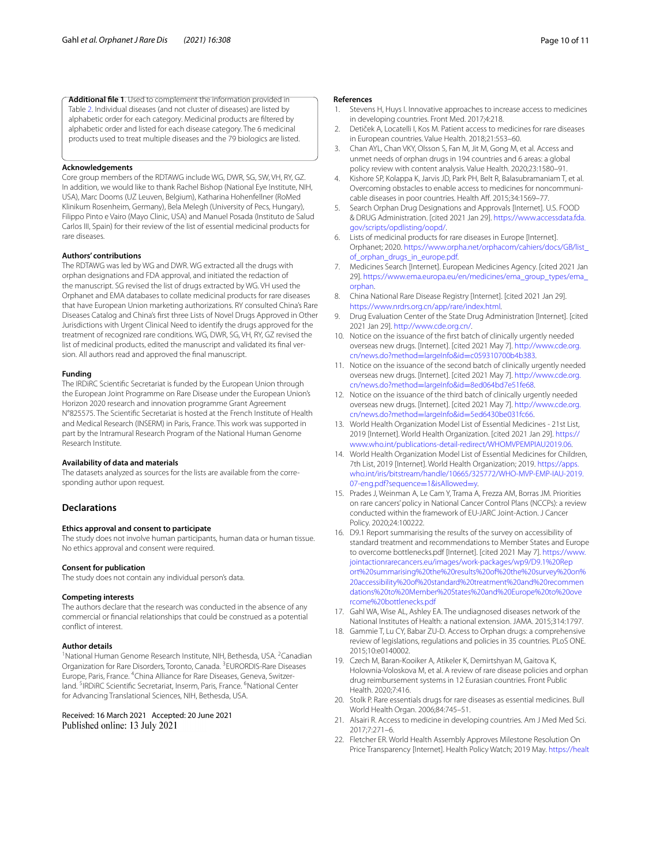<span id="page-9-15"></span>**Additional fle 1**. Used to complement the information provided in Table [2.](#page-7-0) Individual diseases (and not cluster of diseases) are listed by alphabetic order for each category. Medicinal products are fltered by alphabetic order and listed for each disease category. The 6 medicinal products used to treat multiple diseases and the 79 biologics are listed.

#### **Acknowledgements**

Core group members of the RDTAWG include WG, DWR, SG, SW, VH, RY, GZ. In addition, we would like to thank Rachel Bishop (National Eye Institute, NIH, USA), Marc Dooms (UZ Leuven, Belgium), Katharina Hohenfellner (RoMed Klinikum Rosenheim, Germany), Bela Melegh (University of Pecs, Hungary), Filippo Pinto e Vairo (Mayo Clinic, USA) and Manuel Posada (Instituto de Salud Carlos III, Spain) for their review of the list of essential medicinal products for rare diseases.

## **Authors' contributions**

The RDTAWG was led by WG and DWR. WG extracted all the drugs with orphan designations and FDA approval, and initiated the redaction of the manuscript. SG revised the list of drugs extracted by WG. VH used the Orphanet and EMA databases to collate medicinal products for rare diseases that have European Union marketing authorizations. RY consulted China's Rare Diseases Catalog and China's frst three Lists of Novel Drugs Approved in Other Jurisdictions with Urgent Clinical Need to identify the drugs approved for the treatment of recognized rare conditions. WG, DWR, SG, VH, RY, GZ revised the list of medicinal products, edited the manuscript and validated its final version. All authors read and approved the fnal manuscript.

#### **Funding**

The IRDiRC Scientifc Secretariat is funded by the European Union through the European Joint Programme on Rare Disease under the European Union's Horizon 2020 research and innovation programme Grant Agreement N°825575. The Scientifc Secretariat is hosted at the French Institute of Health and Medical Research (INSERM) in Paris, France. This work was supported in part by the Intramural Research Program of the National Human Genome Research Institute.

#### **Availability of data and materials**

The datasets analyzed as sources for the lists are available from the corresponding author upon request.

## **Declarations**

#### **Ethics approval and consent to participate**

The study does not involve human participants, human data or human tissue. No ethics approval and consent were required.

#### **Consent for publication**

The study does not contain any individual person's data.

#### **Competing interests**

The authors declare that the research was conducted in the absence of any commercial or fnancial relationships that could be construed as a potential confict of interest.

#### **Author details**

<sup>1</sup> National Human Genome Research Institute, NIH, Bethesda, USA. <sup>2</sup> Canadian Organization for Rare Disorders, Toronto, Canada. <sup>3</sup>EURORDIS-Rare Diseases Europe, Paris, France. <sup>4</sup>China Alliance for Rare Diseases, Geneva, Switzerland. <sup>5</sup>IRDIRC Scientific Secretariat, Inserm, Paris, France. <sup>6</sup>National Center for Advancing Translational Sciences, NIH, Bethesda, USA.

# Received: 16 March 2021 Accepted: 20 June 2021

Published online: 13 July 2021

#### **References**

- <span id="page-9-0"></span>1. Stevens H, Huys I. Innovative approaches to increase access to medicines in developing countries. Front Med. 2017;4:218.
- <span id="page-9-1"></span>2. Detiček A, Locatelli I, Kos M. Patient access to medicines for rare diseases in European countries. Value Health. 2018;21:553–60.
- <span id="page-9-2"></span>3. Chan AYL, Chan VKY, Olsson S, Fan M, Jit M, Gong M, et al. Access and unmet needs of orphan drugs in 194 countries and 6 areas: a global policy review with content analysis. Value Health. 2020;23:1580–91.
- <span id="page-9-3"></span>4. Kishore SP, Kolappa K, Jarvis JD, Park PH, Belt R, Balasubramaniam T, et al. Overcoming obstacles to enable access to medicines for noncommunicable diseases in poor countries. Health Aff. 2015;34:1569-77.
- <span id="page-9-4"></span>5. Search Orphan Drug Designations and Approvals [Internet]. U.S. FOOD & DRUG Administration. [cited 2021 Jan 29]. [https://www.accessdata.fda.](https://www.accessdata.fda.gov/scripts/opdlisting/oopd/) [gov/scripts/opdlisting/oopd/](https://www.accessdata.fda.gov/scripts/opdlisting/oopd/).
- <span id="page-9-5"></span>6. Lists of medicinal products for rare diseases in Europe [Internet]. Orphanet; 2020. [https://www.orpha.net/orphacom/cahiers/docs/GB/list\\_](https://www.orpha.net/orphacom/cahiers/docs/GB/list_of_orphan_drugs_in_europe.pdf) [of\\_orphan\\_drugs\\_in\\_europe.pdf.](https://www.orpha.net/orphacom/cahiers/docs/GB/list_of_orphan_drugs_in_europe.pdf)
- <span id="page-9-6"></span>7. Medicines Search [Internet]. European Medicines Agency. [cited 2021 Jan 29]. [https://www.ema.europa.eu/en/medicines/ema\\_group\\_types/ema\\_](https://www.ema.europa.eu/en/medicines/ema_group_types/ema_orphan) [orphan.](https://www.ema.europa.eu/en/medicines/ema_group_types/ema_orphan)
- <span id="page-9-7"></span>8. China National Rare Disease Registry [Internet]. [cited 2021 Jan 29]. <https://www.nrdrs.org.cn/app/rare/index.html>.
- <span id="page-9-8"></span>Drug Evaluation Center of the State Drug Administration [Internet]. [cited 2021 Jan 29]. <http://www.cde.org.cn/>.
- <span id="page-9-9"></span>10. Notice on the issuance of the frst batch of clinically urgently needed overseas new drugs. [Internet]. [cited 2021 May 7]. [http://www.cde.org.](http://www.cde.org.cn/news.do?method=largeInfo&id=c059310700b4b383) cn/news.do?method=largeInfo&id=c059310700b4b383.
- 11. [Notice on the issuance of the second batch of clinically u](http://www.cde.org.cn/news.do?method=largeInfo&id=c059310700b4b383)rgently needed overseas new drugs. [Internet]. [cited 2021 May 7]. [http://www.cde.org.](http://www.cde.org.cn/news.do?method=largeInfo&id=8ed064bd7e51fe68) cn/news.do?method=largeInfo&id=8ed064bd7e51fe68.
- <span id="page-9-10"></span>12. [Notice on the issuance of the third batch of clinically urg](http://www.cde.org.cn/news.do?method=largeInfo&id=8ed064bd7e51fe68)ently needed overseas new drugs. [Internet]. [cited 2021 May 7]. [http://www.cde.org.](http://www.cde.org.cn/news.do?method=largeInfo&id=5ed6430be031fc66) cn/news.do?method=largeInfo&id=5ed6430be031fc66.
- <span id="page-9-11"></span>13. [World Health Organization Model List of Essential Medici](http://www.cde.org.cn/news.do?method=largeInfo&id=5ed6430be031fc66)nes - 21st List, 2019 [Internet]. World Health Organization. [cited 2021 Jan 29]. [https://](https://www.who.int/publications-detail-redirect/WHOMVPEMPIAU2019.06) [www.who.int/publications-detail-redirect/WHOMVPEMPIAU2019.06](https://www.who.int/publications-detail-redirect/WHOMVPEMPIAU2019.06).
- <span id="page-9-12"></span>14. World Health Organization Model List of Essential Medicines for Children, 7th List, 2019 [Internet]. World Health Organization; 2019. [https://apps.](https://apps.who.int/iris/bitstream/handle/10665/325772/WHO-MVP-EMP-IAU-2019.07-eng.pdf?sequence=1&isAllowed=y) [who.int/iris/bitstream/handle/10665/325772/WHO-MVP-EMP-IAU-2019.](https://apps.who.int/iris/bitstream/handle/10665/325772/WHO-MVP-EMP-IAU-2019.07-eng.pdf?sequence=1&isAllowed=y) [07-eng.pdf?sequence](https://apps.who.int/iris/bitstream/handle/10665/325772/WHO-MVP-EMP-IAU-2019.07-eng.pdf?sequence=1&isAllowed=y)=1&isAllowed=y.
- <span id="page-9-13"></span>15. Prades J, Weinman A, Le Cam Y, Trama A, Frezza AM, Borras JM. Priorities on rare cancers' policy in National Cancer Control Plans (NCCPs): a review conducted within the framework of EU-JARC Joint-Action. J Cancer Policy. 2020;24:100222.
- <span id="page-9-14"></span>16. D9.1 Report summarising the results of the survey on accessibility of standard treatment and recommendations to Member States and Europe to overcome bottlenecks.pdf [Internet]. [cited 2021 May 7]. [https://www.](https://www.jointactionrarecancers.eu/images/work-packages/wp9/D9.1%20Report%20summarising%20the%20results%20of%20the%20survey%20on%20accessibility%20of%20standard%20treatment%20and%20recommendations%20to%20Member%20States%20and%20Europe%20to%20overcome%20bottlenecks.pdf) [jointactionrarecancers.eu/images/work-packages/wp9/D9.1%20Rep](https://www.jointactionrarecancers.eu/images/work-packages/wp9/D9.1%20Report%20summarising%20the%20results%20of%20the%20survey%20on%20accessibility%20of%20standard%20treatment%20and%20recommendations%20to%20Member%20States%20and%20Europe%20to%20overcome%20bottlenecks.pdf) [ort%20summarising%20the%20results%20of%20the%20survey%20on%](https://www.jointactionrarecancers.eu/images/work-packages/wp9/D9.1%20Report%20summarising%20the%20results%20of%20the%20survey%20on%20accessibility%20of%20standard%20treatment%20and%20recommendations%20to%20Member%20States%20and%20Europe%20to%20overcome%20bottlenecks.pdf) [20accessibility%20of%20standard%20treatment%20and%20recommen](https://www.jointactionrarecancers.eu/images/work-packages/wp9/D9.1%20Report%20summarising%20the%20results%20of%20the%20survey%20on%20accessibility%20of%20standard%20treatment%20and%20recommendations%20to%20Member%20States%20and%20Europe%20to%20overcome%20bottlenecks.pdf) [dations%20to%20Member%20States%20and%20Europe%20to%20ove](https://www.jointactionrarecancers.eu/images/work-packages/wp9/D9.1%20Report%20summarising%20the%20results%20of%20the%20survey%20on%20accessibility%20of%20standard%20treatment%20and%20recommendations%20to%20Member%20States%20and%20Europe%20to%20overcome%20bottlenecks.pdf) [rcome%20bottlenecks.pdf](https://www.jointactionrarecancers.eu/images/work-packages/wp9/D9.1%20Report%20summarising%20the%20results%20of%20the%20survey%20on%20accessibility%20of%20standard%20treatment%20and%20recommendations%20to%20Member%20States%20and%20Europe%20to%20overcome%20bottlenecks.pdf)
- <span id="page-9-16"></span>17. Gahl WA, Wise AL, Ashley EA. The undiagnosed diseases network of the National Institutes of Health: a national extension. JAMA. 2015;314:1797.
- <span id="page-9-17"></span>18. Gammie T, Lu CY, Babar ZU-D. Access to Orphan drugs: a comprehensive review of legislations, regulations and policies in 35 countries. PLoS ONE. 2015;10:e0140002.
- <span id="page-9-18"></span>19. Czech M, Baran-Kooiker A, Atikeler K, Demirtshyan M, Gaitova K, Holownia-Voloskova M, et al. A review of rare disease policies and orphan drug reimbursement systems in 12 Eurasian countries. Front Public Health. 2020;7:416.
- <span id="page-9-19"></span>20. Stolk P. Rare essentials drugs for rare diseases as essential medicines. Bull World Health Organ. 2006;84:745–51.
- <span id="page-9-20"></span>21. Alsairi R. Access to medicine in developing countries. Am J Med Med Sci. 2017;7:271–6.
- <span id="page-9-21"></span>22. Fletcher ER. World Health Assembly Approves Milestone Resolution On Price Transparency [Internet]. Health Policy Watch; 2019 May. [https://healt](https://healthpolicy-watch.news/world-health-assembly-approves-milestone-resolution-on-price-transparency/)